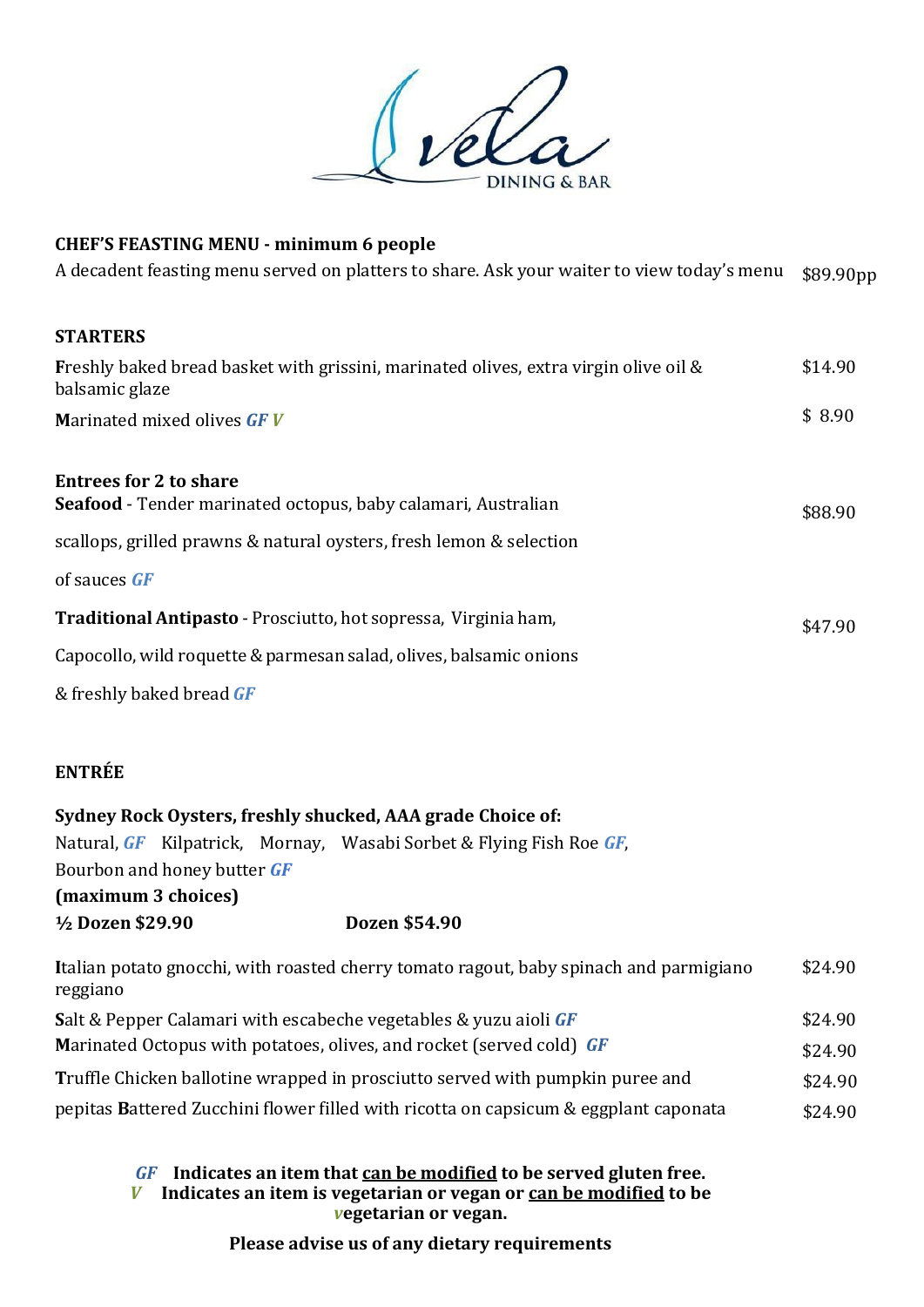

# **CHEF'S FEASTING MENU - minimum 6 people**

A decadent feasting menu served on platters to share. Ask your waiter to view today's menu \$89.90pp

### **STARTERS**

| Freshly baked bread basket with grissini, marinated olives, extra virgin olive oil &<br>balsamic glaze | \$14.90 |
|--------------------------------------------------------------------------------------------------------|---------|
| <b>Marinated mixed olives GFV</b>                                                                      | \$8.90  |
| <b>Entrees for 2 to share</b>                                                                          |         |

# \$88.90 **Seafood** - Tender marinated octopus, baby calamari, Australian scallops, grilled prawns & natural oysters, fresh lemon & selection of sauces *GF*

| <b>Traditional Antipasto</b> - Prosciutto, hot sopressa, Virginia ham,                                                  | \$47.90 |
|-------------------------------------------------------------------------------------------------------------------------|---------|
| Capocollo, wild roquette & parmesan salad, olives, balsamic onions                                                      |         |
| $\overline{0}$ $\overline{1}$ $\overline{1}$ $\overline{1}$ $\overline{1}$ $\overline{1}$ $\overline{2}$ $\overline{1}$ |         |

& freshly baked bread *GF*

# **ENTRÉE**

| Sydney Rock Oysters, freshly shucked, AAA grade Choice of: |                                                                                        |         |
|------------------------------------------------------------|----------------------------------------------------------------------------------------|---------|
|                                                            | Natural, GF Kilpatrick, Mornay, Wasabi Sorbet & Flying Fish Roe GF,                    |         |
| Bourbon and honey butter GF                                |                                                                                        |         |
| (maximum 3 choices)                                        |                                                                                        |         |
| 1/2 Dozen \$29.90                                          | Dozen \$54.90                                                                          |         |
| maxima                                                     | Italian potato gnocchi, with roasted cherry tomato ragout, baby spinach and parmigiano | \$24.90 |

| <u>reggiano</u>                                                                 |         |
|---------------------------------------------------------------------------------|---------|
| <b>Salt &amp; Pepper Calamari with escabeche vegetables &amp; yuzu aioli GF</b> | \$24.90 |
| Marinated Octopus with potatoes, olives, and rocket (served cold) GF            | \$24.90 |
| Truffle Chicken ballotine wrapped in prosciutto served with pumpkin puree and   | \$24.90 |

pepitas Battered Zucchini flower filled with ricotta on capsicum & eggplant caponata  $$24.90$ 

### *GF* **Indicates an item that can be modified to be served gluten free.** *V* **Indicates an item is vegetarian or vegan or can be modified to be**  *v***egetarian or vegan.**

**Please advise us of any dietary requirements**